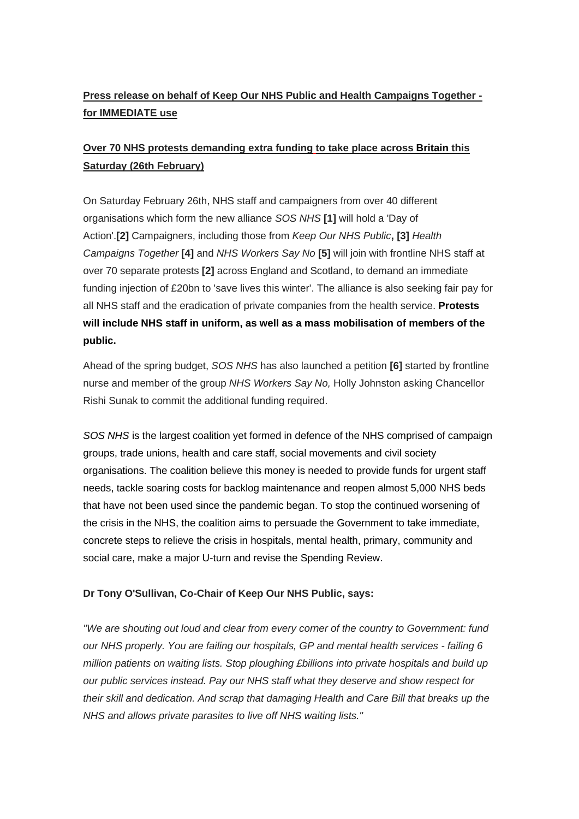# **Press release on behalf of Keep Our NHS Public and Health Campaigns Together for IMMEDIATE use**

# **Over 70 NHS protests demanding extra funding to take place across Britain this Saturday (26th February)**

On Saturday February 26th, NHS staff and campaigners from over 40 different organisations which form the new alliance *SOS NHS* **[1]** will hold a 'Day of Action'.**[2]** Campaigners, including those from *Keep Our NHS Public***, [3]** *Health Campaigns Together* **[4]** and *NHS Workers Say No* **[5]** will join with frontline NHS staff at over 70 separate protests **[2]** across England and Scotland, to demand an immediate funding injection of £20bn to 'save lives this winter'. The alliance is also seeking fair pay for all NHS staff and the eradication of private companies from the health service. **Protests will include NHS staff in uniform, as well as a mass mobilisation of members of the public.**

Ahead of the spring budget, *SOS NHS* has also launched a petition **[6]** started by frontline nurse and member of the group *NHS Workers Say No,* Holly Johnston asking Chancellor Rishi Sunak to commit the additional funding required.

*SOS NHS* is the largest coalition yet formed in defence of the NHS comprised of campaign groups, trade unions, health and care staff, social movements and civil society organisations. The coalition believe this money is needed to provide funds for urgent staff needs, tackle soaring costs for backlog maintenance and reopen almost 5,000 NHS beds that have not been used since the pandemic began. To stop the continued worsening of the crisis in the NHS, the coalition aims to persuade the Government to take immediate, concrete steps to relieve the crisis in hospitals, mental health, primary, community and social care, make a major U-turn and revise the Spending Review.

### **Dr Tony O'Sullivan, Co-Chair of Keep Our NHS Public, says:**

*"We are shouting out loud and clear from every corner of the country to Government: fund our NHS properly. You are failing our hospitals, GP and mental health services - failing 6 million patients on waiting lists. Stop ploughing £billions into private hospitals and build up our public services instead. Pay our NHS staff what they deserve and show respect for their skill and dedication. And scrap that damaging Health and Care Bill that breaks up the NHS and allows private parasites to live off NHS waiting lists."*